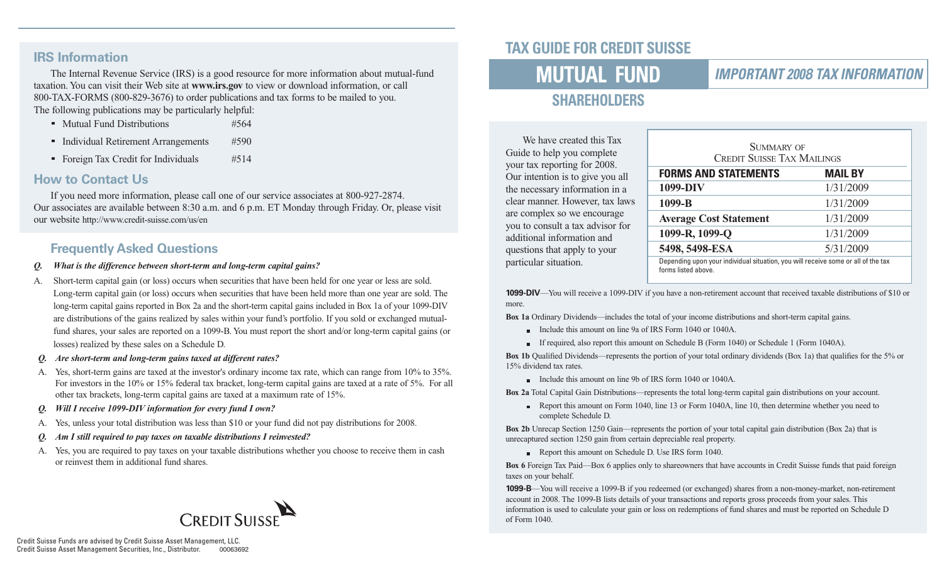#### **IRS Information**

The Internal Revenue Service (IRS) is a good resource for more information about mutual-fund taxation. You can visit their Web site at **www.irs.gov** to view or download information, or call 800-TAX-FORMS (800-829-3676) to order publications and tax forms to be mailed to you. The following publications may be particularly helpful:

- Mutual Fund Distributions #564
- Individual Retirement Arrangements #590
- Foreign Tax Credit for Individuals #514

#### **How to Contact Us**

If you need more information, please call one of our service associates at 800-927-2874. Our associates are available between 8:30 a.m. and 6 p.m. ET Monday through Friday. Or, please visit our website http://www.credit-suisse.com/us/en

### **Frequently Asked Questions**

- *Q. What is the difference between short-term and long-term capital gains?*
- A. Short-term capital gain (or loss) occurs when securities that have been held for one year or less are sold. Long-term capital gain (or loss) occurs when securities that have been held more than one year are sold. The long-term capital gains reported in Box 2a and the short-term capital gains included in Box 1a of your 1099-DIV are distributions of the gains realized by sales within your fund's portfolio. If you sold or exchanged mutualfund shares, your sales are reported on a 1099-B. You must report the short and/or long-term capital gains (or losses) realized by these sales on a Schedule D.
- *Q. Are short-term and long-term gains taxed at different rates?*
- A. Yes, short-term gains are taxed at the investor's ordinary income tax rate, which can range from 10% to 35%. For investors in the 10% or 15% federal tax bracket, long-term capital gains are taxed at a rate of 5%. For all other tax brackets, long-term capital gains are taxed at a maximum rate of 15%.
- *Q. Will I receive 1099-DIV information for every fund I own?*
- A. Yes, unless your total distribution was less than \$10 or your fund did not pay distributions for 2008.
- *Am I still required to pay taxes on taxable distributions I reinvested?*
- A. Yes, you are required to pay taxes on your taxable distributions whether you choose to receive them in cash or reinvest them in additional fund shares.



# **TAX GUIDE FOR CREDIT SUISSE**

# **MUTUAL FUND**

### **IMPORTANT 2008 TAX INFORMATION**

# **SHAREHOLDERS**

We have created this Tax Guide to help you complete your tax reporting for 2008. Our intention is to give you all the necessary information in a clear manner. However, tax laws are complex so we encourage you to consult a tax advisor for additional information and questions that apply to your particular situation.

| SUMMARY OF<br><b>CREDIT SUISSE TAX MAILINGS</b>                                                          |           |  |  |
|----------------------------------------------------------------------------------------------------------|-----------|--|--|
| <b>FORMS AND STATEMENTS</b><br><b>MAIL BY</b>                                                            |           |  |  |
| 1099-DIV                                                                                                 | 1/31/2009 |  |  |
| 1099-B                                                                                                   | 1/31/2009 |  |  |
| <b>Average Cost Statement</b>                                                                            | 1/31/2009 |  |  |
| 1099-R, 1099-Q                                                                                           | 1/31/2009 |  |  |
| 5498, 5498-ESA                                                                                           | 5/31/2009 |  |  |
| Depending upon your individual situation, you will receive some or all of the tax<br>forms listed above. |           |  |  |

**1099-DIV**—You will receive a 1099-DIV if you have a non-retirement account that received taxable distributions of \$10 or more.

**Box 1a** Ordinary Dividends—includes the total of your income distributions and short-term capital gains.

- Include this amount on line 9a of IRS Form 1040 or 1040A.
- If required, also report this amount on Schedule B (Form 1040) or Schedule 1 (Form 1040A).

**Box 1b** Qualified Dividends—represents the portion of your total ordinary dividends (Box 1a) that qualifies for the 5% or 15% dividend tax rates.

Include this amount on line 9b of IRS form 1040 or 1040A.

**Box 2a** Total Capital Gain Distributions—represents the total long-term capital gain distributions on your account.

Report this amount on Form 1040, line 13 or Form 1040A, line 10, then determine whether you need to complete Schedule D.

**Box 2b** Unrecap Section 1250 Gain—represents the portion of your total capital gain distribution (Box 2a) that is unrecaptured section 1250 gain from certain depreciable real property.

Report this amount on Schedule D. Use IRS form 1040.

**Box 6** Foreign Tax Paid—Box 6 applies only to shareowners that have accounts in Credit Suisse funds that paid foreign taxes on your behalf.

**1099-B**—You will receive a 1099-B if you redeemed (or exchanged) shares from a non-money-market, non-retirement account in 2008. The 1099-B lists details of your transactions and reports gross proceeds from your sales. This information is used to calculate your gain or loss on redemptions of fund shares and must be reported on Schedule D of Form 1040.

Credit Suisse Funds are advised by Credit Suisse Asset Management, LLC. Credit Suisse Asset Management Securities, Inc., Distributor. 00063692